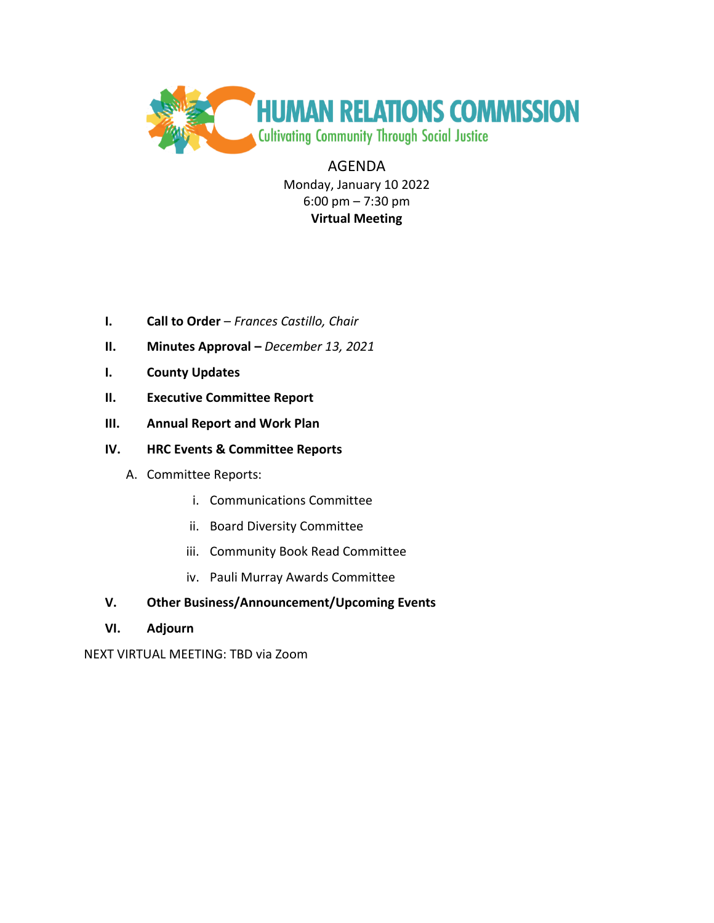

AGENDA Monday, January 10 2022 6:00 pm – 7:30 pm **Virtual Meeting**

- **I. Call to Order** *Frances Castillo, Chair*
- **II. Minutes Approval –** *December 13, 2021*
- **I. County Updates**
- **II. Executive Committee Report**
- **III. Annual Report and Work Plan**
- **IV. HRC Events & Committee Reports**
	- A. Committee Reports:
		- i. Communications Committee
		- ii. Board Diversity Committee
		- iii. Community Book Read Committee
		- iv. Pauli Murray Awards Committee

# **V. Other Business/Announcement/Upcoming Events**

**VI. Adjourn**

NEXT VIRTUAL MEETING: TBD via Zoom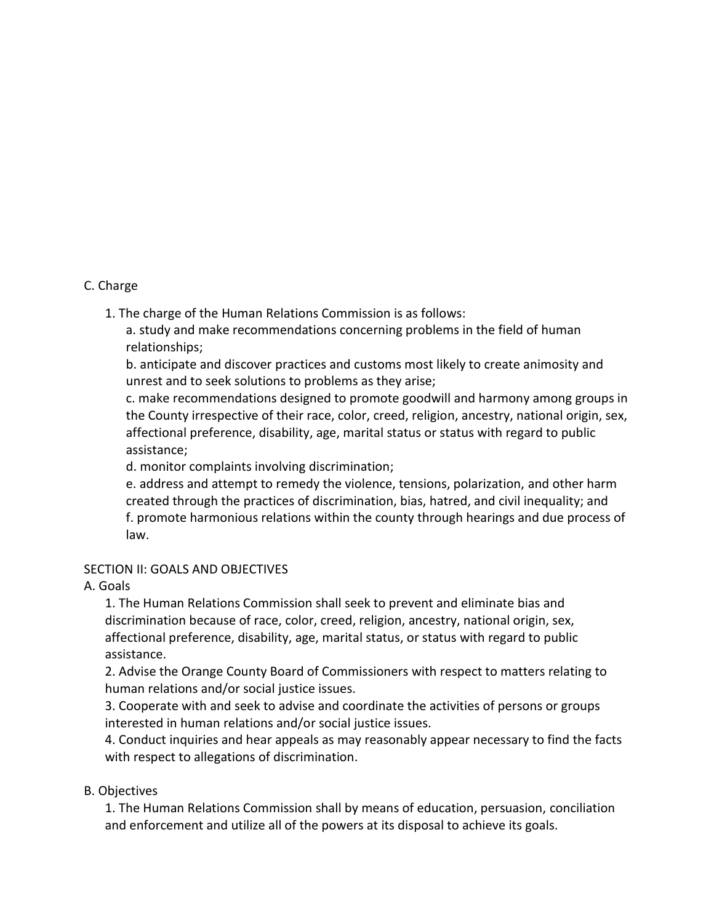## C. Charge

1. The charge of the Human Relations Commission is as follows:

a. study and make recommendations concerning problems in the field of human relationships;

b. anticipate and discover practices and customs most likely to create animosity and unrest and to seek solutions to problems as they arise;

c. make recommendations designed to promote goodwill and harmony among groups in the County irrespective of their race, color, creed, religion, ancestry, national origin, sex, affectional preference, disability, age, marital status or status with regard to public assistance;

d. monitor complaints involving discrimination;

e. address and attempt to remedy the violence, tensions, polarization, and other harm created through the practices of discrimination, bias, hatred, and civil inequality; and f. promote harmonious relations within the county through hearings and due process of law.

## SECTION II: GOALS AND OBJECTIVES

## A. Goals

1. The Human Relations Commission shall seek to prevent and eliminate bias and discrimination because of race, color, creed, religion, ancestry, national origin, sex, affectional preference, disability, age, marital status, or status with regard to public assistance.

2. Advise the Orange County Board of Commissioners with respect to matters relating to human relations and/or social justice issues.

3. Cooperate with and seek to advise and coordinate the activities of persons or groups interested in human relations and/or social justice issues.

4. Conduct inquiries and hear appeals as may reasonably appear necessary to find the facts with respect to allegations of discrimination.

## B. Objectives

1. The Human Relations Commission shall by means of education, persuasion, conciliation and enforcement and utilize all of the powers at its disposal to achieve its goals.